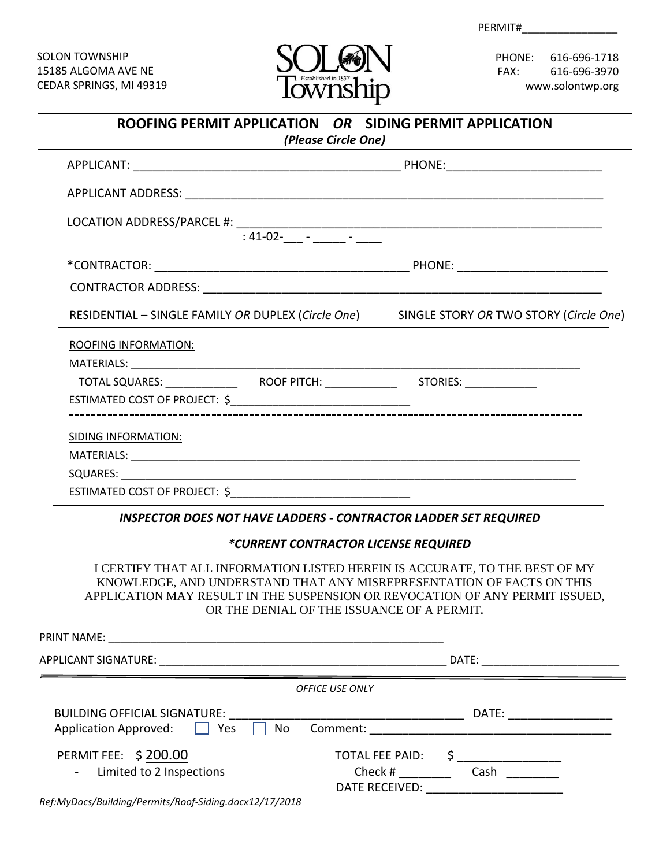PERMIT#

SOLON TOWNSHIP SOLON TOWNSHIP 15185 ALGOMA AVE NE 15185 ALGOMA AVE NE CEDAR SPRINGS, MI 49319 CEDAR SPRINGS, MI 49319



PHONE: 616-696-1718 PHONE: 616-696-1718 FAX: 616-696-3970 FAX: 616-696-3970 www.solontwp.org www.solontwp.org

| ROOFING PERMIT APPLICATION OR SIDING PERMIT APPLICATION<br>(Please Circle One) |                                                                                           |  |
|--------------------------------------------------------------------------------|-------------------------------------------------------------------------------------------|--|
|                                                                                |                                                                                           |  |
|                                                                                |                                                                                           |  |
|                                                                                |                                                                                           |  |
|                                                                                |                                                                                           |  |
|                                                                                |                                                                                           |  |
|                                                                                | RESIDENTIAL - SINGLE FAMILY OR DUPLEX (Circle One) SINGLE STORY OR TWO STORY (Circle One) |  |
|                                                                                |                                                                                           |  |
|                                                                                |                                                                                           |  |
|                                                                                |                                                                                           |  |
|                                                                                |                                                                                           |  |
|                                                                                |                                                                                           |  |
|                                                                                |                                                                                           |  |
|                                                                                |                                                                                           |  |
|                                                                                |                                                                                           |  |
|                                                                                |                                                                                           |  |

 *INSPECTOR DOES NOT HAVE LADDERS - CONTRACTOR LADDER SET REQUIRED*

### *\*CURRENT CONTRACTOR LICENSE REQUIRED*

I CERTIFY THAT ALL INFORMATION LISTED HEREIN IS ACCURATE, TO THE BEST OF MY KNOWLEDGE, AND UNDERSTAND THAT ANY MISREPRESENTATION OF FACTS ON THIS APPLICATION MAY RESULT IN THE SUSPENSION OR REVOCATION OF ANY PERMIT ISSUED, OR THE DENIAL OF THE ISSUANCE OF A PERMIT**.**

| <b>PRINT NAME:</b>                                                                        |                                                 |                                              |
|-------------------------------------------------------------------------------------------|-------------------------------------------------|----------------------------------------------|
|                                                                                           |                                                 | DATE:                                        |
|                                                                                           | <b>OFFICE USE ONLY</b>                          |                                              |
| <b>BUILDING OFFICIAL SIGNATURE:</b><br>Application Approved: $\Box$<br>, Yes<br>$\Box$ No |                                                 | DATE: _______________                        |
| <b>PERMIT FEE: \$200.00</b><br>- Limited to 2 Inspections                                 | TOTAL FEE PAID:<br>$Check \#$<br>DATE RECEIVED: | <u> 1980 - Jan Samman, politik e</u><br>Cash |
|                                                                                           |                                                 |                                              |

*Ref:MyDocs/Building/Permits/Roof-Siding.docx12/17/2018*